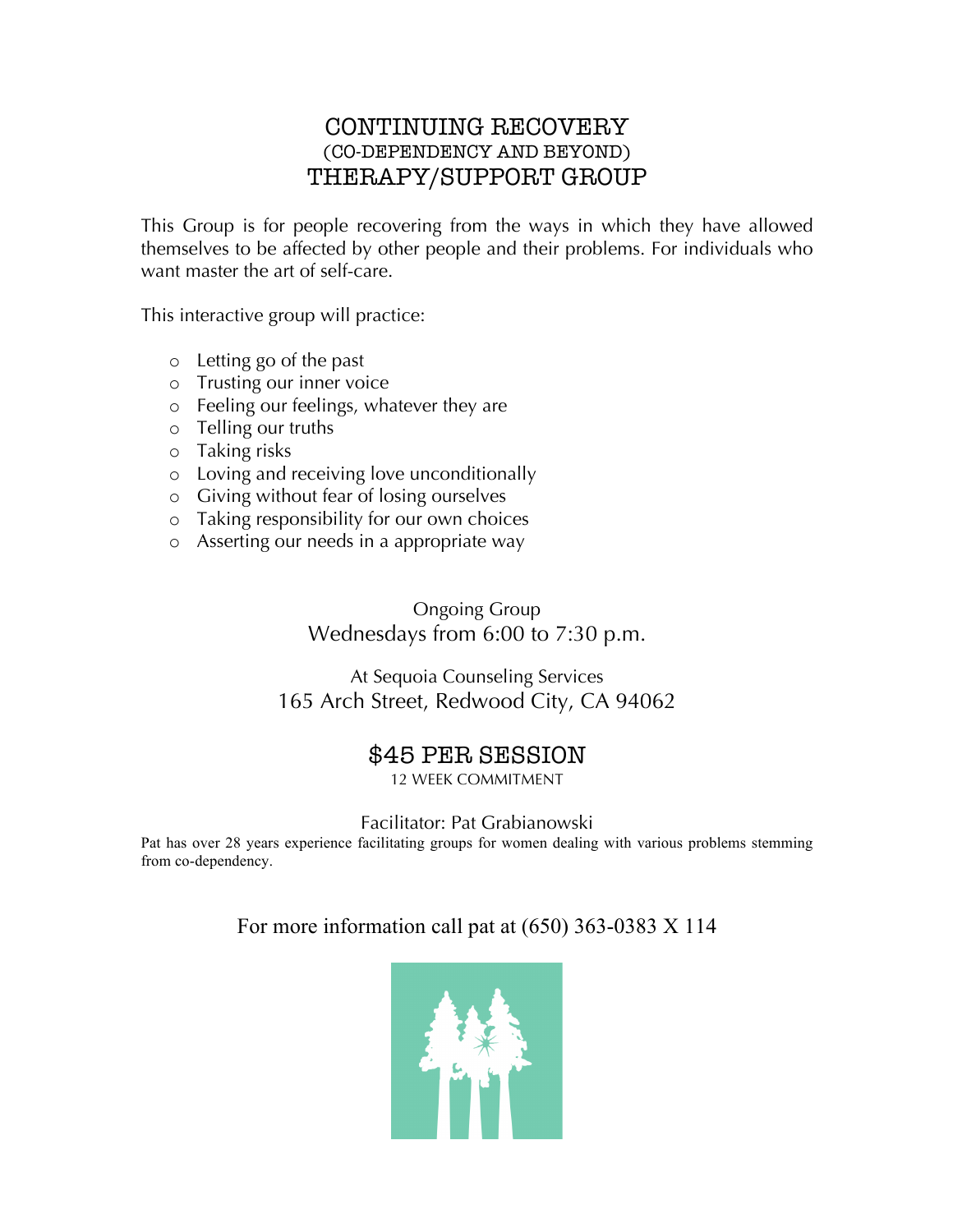#### CONTINUING RECOVERY (CO-DEPENDENCY AND BEYOND) THERAPY/SUPPORT GROUP

This Group is for people recovering from the ways in which they have allowed themselves to be affected by other people and their problems. For individuals who want master the art of self-care.

This interactive group will practice:

- o Letting go of the past
- o Trusting our inner voice
- o Feeling our feelings, whatever they are
- o Telling our truths
- o Taking risks
- o Loving and receiving love unconditionally
- o Giving without fear of losing ourselves
- o Taking responsibility for our own choices
- o Asserting our needs in a appropriate way

Ongoing Group Wednesdays from 6:00 to 7:30 p.m.

At Sequoia Counseling Services 165 Arch Street, Redwood City, CA 94062

#### \$45 PER SESSION

12 WEEK COMMITMENT

Facilitator: Pat Grabianowski

Pat has over 28 years experience facilitating groups for women dealing with various problems stemming from co-dependency.

For more information call pat at (650) 363-0383 X 114